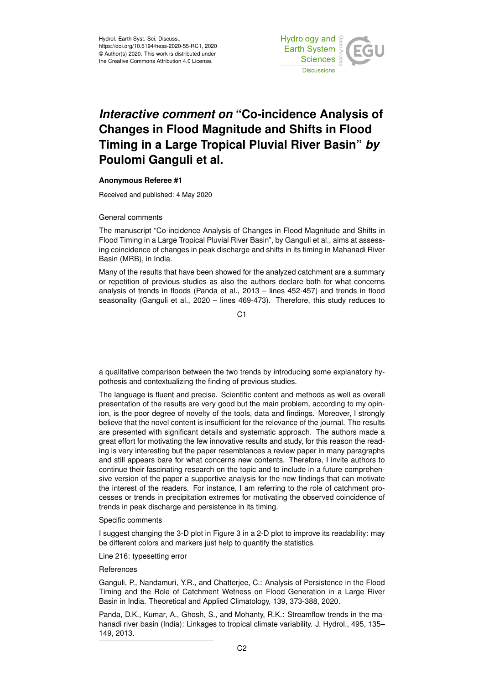

# *Interactive comment on* **"Co-incidence Analysis of Changes in Flood Magnitude and Shifts in Flood Timing in a Large Tropical Pluvial River Basin"** *by* **Poulomi Ganguli et al.**

## **Anonymous Referee #1**

Received and published: 4 May 2020

### General comments

The manuscript "Co-incidence Analysis of Changes in Flood Magnitude and Shifts in Flood Timing in a Large Tropical Pluvial River Basin", by Ganguli et al., aims at assessing coincidence of changes in peak discharge and shifts in its timing in Mahanadi River Basin (MRB), in India.

Many of the results that have been showed for the analyzed catchment are a summary or repetition of previous studies as also the authors declare both for what concerns analysis of trends in floods (Panda et al., 2013 – lines 452-457) and trends in flood seasonality (Ganguli et al., 2020 – lines 469-473). Therefore, this study reduces to

 $C<sub>1</sub>$ 

a qualitative comparison between the two trends by introducing some explanatory hypothesis and contextualizing the finding of previous studies.

The language is fluent and precise. Scientific content and methods as well as overall presentation of the results are very good but the main problem, according to my opinion, is the poor degree of novelty of the tools, data and findings. Moreover, I strongly believe that the novel content is insufficient for the relevance of the journal. The results are presented with significant details and systematic approach. The authors made a great effort for motivating the few innovative results and study, for this reason the reading is very interesting but the paper resemblances a review paper in many paragraphs and still appears bare for what concerns new contents. Therefore, I invite authors to continue their fascinating research on the topic and to include in a future comprehensive version of the paper a supportive analysis for the new findings that can motivate the interest of the readers. For instance, I am referring to the role of catchment processes or trends in precipitation extremes for motivating the observed coincidence of trends in peak discharge and persistence in its timing.

### Specific comments

I suggest changing the 3-D plot in Figure 3 in a 2-D plot to improve its readability: may be different colors and markers just help to quantify the statistics.

Line 216: typesetting error

### **References**

Ganguli, P., Nandamuri, Y.R., and Chatterjee, C.: Analysis of Persistence in the Flood Timing and the Role of Catchment Wetness on Flood Generation in a Large River Basin in India. Theoretical and Applied Climatology, 139, 373-388, 2020.

Panda, D.K., Kumar, A., Ghosh, S., and Mohanty, R.K.: Streamflow trends in the mahanadi river basin (India): Linkages to tropical climate variability. J. Hydrol., 495, 135– 149, 2013.